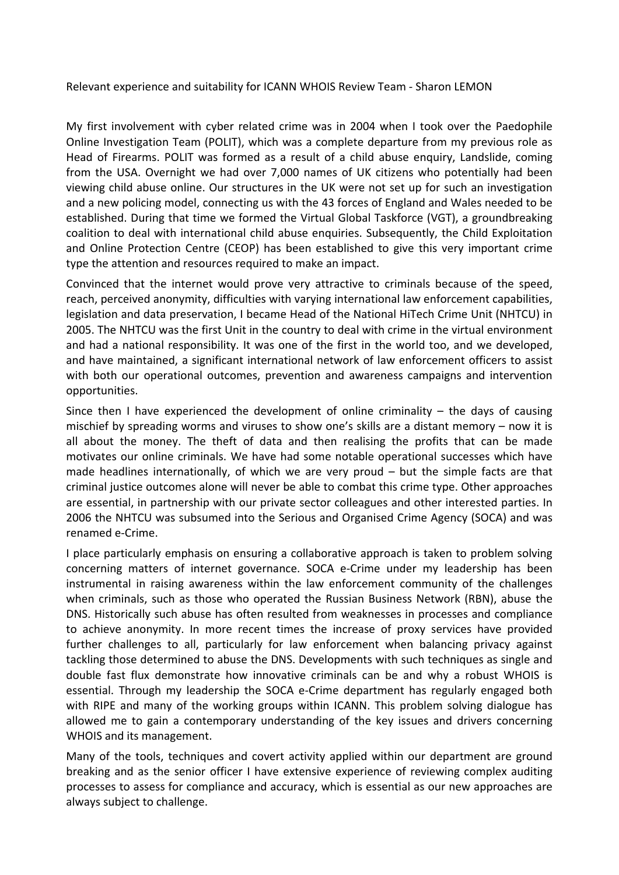Relevant experience and suitability for ICANN WHOIS Review Team ‐ Sharon LEMON

My first involvement with cyber related crime was in 2004 when I took over the Paedophile Online Investigation Team (POLIT), which was a complete departure from my previous role as Head of Firearms. POLIT was formed as a result of a child abuse enquiry, Landslide, coming from the USA. Overnight we had over 7,000 names of UK citizens who potentially had been viewing child abuse online. Our structures in the UK were not set up for such an investigation and a new policing model, connecting us with the 43 forces of England and Wales needed to be established. During that time we formed the Virtual Global Taskforce (VGT), a groundbreaking coalition to deal with international child abuse enquiries. Subsequently, the Child Exploitation and Online Protection Centre (CEOP) has been established to give this very important crime type the attention and resources required to make an impact.

Convinced that the internet would prove very attractive to criminals because of the speed, reach, perceived anonymity, difficulties with varying international law enforcement capabilities, legislation and data preservation, I became Head of the National HiTech Crime Unit (NHTCU) in 2005. The NHTCU was the first Unit in the country to deal with crime in the virtual environment and had a national responsibility. It was one of the first in the world too, and we developed, and have maintained, a significant international network of law enforcement officers to assist with both our operational outcomes, prevention and awareness campaigns and intervention opportunities.

Since then I have experienced the development of online criminality – the days of causing mischief by spreading worms and viruses to show one's skills are a distant memory – now it is all about the money. The theft of data and then realising the profits that can be made motivates our online criminals. We have had some notable operational successes which have made headlines internationally, of which we are very proud – but the simple facts are that criminal justice outcomes alone will never be able to combat this crime type. Other approaches are essential, in partnership with our private sector colleagues and other interested parties. In 2006 the NHTCU was subsumed into the Serious and Organised Crime Agency (SOCA) and was renamed e‐Crime.

I place particularly emphasis on ensuring a collaborative approach is taken to problem solving concerning matters of internet governance. SOCA e‐Crime under my leadership has been instrumental in raising awareness within the law enforcement community of the challenges when criminals, such as those who operated the Russian Business Network (RBN), abuse the DNS. Historically such abuse has often resulted from weaknesses in processes and compliance to achieve anonymity. In more recent times the increase of proxy services have provided further challenges to all, particularly for law enforcement when balancing privacy against tackling those determined to abuse the DNS. Developments with such techniques as single and double fast flux demonstrate how innovative criminals can be and why a robust WHOIS is essential. Through my leadership the SOCA e‐Crime department has regularly engaged both with RIPE and many of the working groups within ICANN. This problem solving dialogue has allowed me to gain a contemporary understanding of the key issues and drivers concerning WHOIS and its management.

Many of the tools, techniques and covert activity applied within our department are ground breaking and as the senior officer I have extensive experience of reviewing complex auditing processes to assess for compliance and accuracy, which is essential as our new approaches are always subject to challenge.